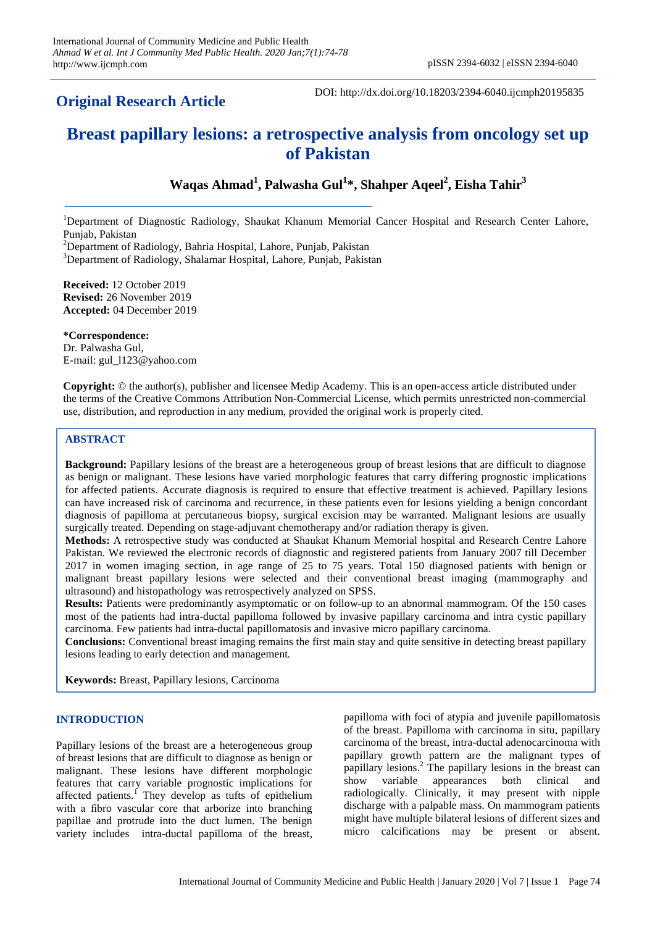# **Original Research Article**

DOI: http://dx.doi.org/10.18203/2394-6040.ijcmph20195835

# **Breast papillary lesions: a retrospective analysis from oncology set up of Pakistan**

## **Waqas Ahmad<sup>1</sup> , Palwasha Gul<sup>1</sup> \*, Shahper Aqeel<sup>2</sup> , Eisha Tahir<sup>3</sup>**

<sup>1</sup>Department of Diagnostic Radiology, Shaukat Khanum Memorial Cancer Hospital and Research Center Lahore, Punjab, Pakistan

<sup>2</sup>Department of Radiology, Bahria Hospital, Lahore, Punjab, Pakistan

<sup>3</sup>Department of Radiology, Shalamar Hospital, Lahore, Punjab, Pakistan

**Received:** 12 October 2019 **Revised:** 26 November 2019 **Accepted:** 04 December 2019

**\*Correspondence:** Dr. Palwasha Gul, E-mail: gul\_l123@yahoo.com

**Copyright:** © the author(s), publisher and licensee Medip Academy. This is an open-access article distributed under the terms of the Creative Commons Attribution Non-Commercial License, which permits unrestricted non-commercial use, distribution, and reproduction in any medium, provided the original work is properly cited.

## **ABSTRACT**

**Background:** Papillary lesions of the breast are a heterogeneous group of breast lesions that are difficult to diagnose as benign or malignant. These lesions have varied morphologic features that carry differing prognostic implications for affected patients. Accurate diagnosis is required to ensure that effective treatment is achieved. Papillary lesions can have increased risk of carcinoma and recurrence, in these patients even for lesions yielding a benign concordant diagnosis of papilloma at percutaneous biopsy, surgical excision may be warranted. Malignant lesions are usually surgically treated. Depending on stage-adjuvant chemotherapy and/or radiation therapy is given.

**Methods:** A retrospective study was conducted at Shaukat Khanum Memorial hospital and Research Centre Lahore Pakistan. We reviewed the electronic records of diagnostic and registered patients from January 2007 till December 2017 in women imaging section, in age range of 25 to 75 years. Total 150 diagnosed patients with benign or malignant breast papillary lesions were selected and their conventional breast imaging (mammography and ultrasound) and histopathology was retrospectively analyzed on SPSS.

**Results:** Patients were predominantly asymptomatic or on follow-up to an abnormal mammogram. Of the 150 cases most of the patients had intra-ductal papilloma followed by invasive papillary carcinoma and intra cystic papillary carcinoma. Few patients had intra-ductal papillomatosis and invasive micro papillary carcinoma.

**Conclusions:** Conventional breast imaging remains the first main stay and quite sensitive in detecting breast papillary lesions leading to early detection and management.

**Keywords:** Breast, Papillary lesions, Carcinoma

#### **INTRODUCTION**

Papillary lesions of the breast are a heterogeneous group of breast lesions that are difficult to diagnose as benign or malignant. These lesions have different morphologic features that carry variable prognostic implications for affected patients.<sup>1</sup> They develop as tufts of epithelium with a fibro vascular core that arborize into branching papillae and protrude into the duct lumen. The benign variety includes [intra-ductal papilloma of the breast,](https://radiopaedia.org/articles/intraductal-papilloma-of-breast?lang=us)

[papilloma with foci of atypia](https://radiopaedia.org/articles/missing?article%5Btitle%5D=papilloma-with-foci-of-atypia&lang=us) and [juvenile papillomatosis](https://radiopaedia.org/articles/juvenile-papillomatosis-of-the-breast?lang=us)  [of the breast.](https://radiopaedia.org/articles/juvenile-papillomatosis-of-the-breast?lang=us) [Papilloma with carcinoma in situ,](https://radiopaedia.org/articles/missing?article%5Btitle%5D=papilloma-with-carcinoma-in-situ&lang=us) [papillary](https://radiopaedia.org/articles/papillary-carcinoma-of-the-breast?lang=us)  [carcinoma of the breast,](https://radiopaedia.org/articles/papillary-carcinoma-of-the-breast?lang=us) [intra-ductal adenocarcinoma with](https://radiopaedia.org/articles/missing?article%5Btitle%5D=intraductal-adenocarcinoma-with-papillary-growth-pattern&lang=us)  [papillary growth pattern](https://radiopaedia.org/articles/missing?article%5Btitle%5D=intraductal-adenocarcinoma-with-papillary-growth-pattern&lang=us) are the malignant types of papillary lesions.<sup>2</sup> The papillary lesions in the breast can show variable appearances both clinical and radiologically. Clinically, it may present with nipple discharge with a palpable mass. On mammogram patients might have multiple bilateral lesions of different sizes and micro calcifications may be present or absent.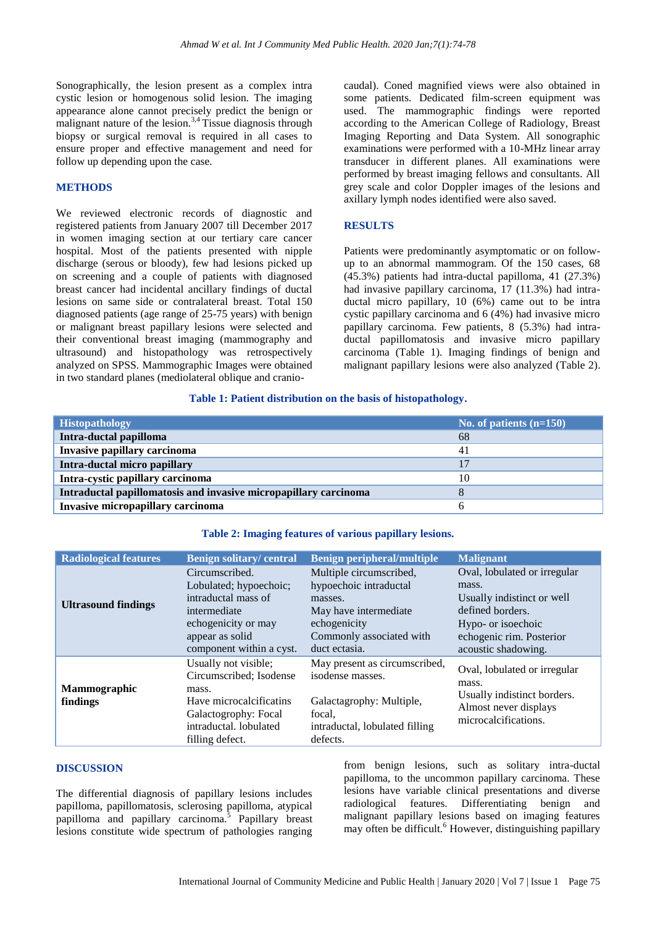Sonographically, the lesion present as a complex intra cystic lesion or homogenous solid lesion. The imaging appearance alone cannot precisely predict the benign or malignant nature of the lesion.<sup>3,4</sup> Tissue diagnosis through biopsy or surgical removal is required in all cases to ensure proper and effective management and need for follow up depending upon the case.

#### **METHODS**

We reviewed electronic records of diagnostic and registered patients from January 2007 till December 2017 in women imaging section at our tertiary care cancer hospital. Most of the patients presented with nipple discharge (serous or bloody), few had lesions picked up on screening and a couple of patients with diagnosed breast cancer had incidental ancillary findings of ductal lesions on same side or contralateral breast. Total 150 diagnosed patients (age range of 25-75 years) with benign or malignant breast papillary lesions were selected and their conventional breast imaging (mammography and ultrasound) and histopathology was retrospectively analyzed on SPSS. Mammographic Images were obtained in two standard planes (mediolateral oblique and cranio-

caudal). Coned magnified views were also obtained in some patients. Dedicated film-screen equipment was used. The mammographic findings were reported according to the American College of Radiology, Breast Imaging Reporting and Data System. All sonographic examinations were performed with a 10-MHz linear array transducer in different planes. All examinations were performed by breast imaging fellows and consultants. All grey scale and color Doppler images of the lesions and axillary lymph nodes identified were also saved.

#### **RESULTS**

Patients were predominantly asymptomatic or on followup to an abnormal mammogram. Of the 150 cases, 68 (45.3%) patients had intra-ductal papilloma, 41 (27.3%) had invasive papillary carcinoma, 17 (11.3%) had intraductal micro papillary, 10 (6%) came out to be intra cystic papillary carcinoma and 6 (4%) had invasive micro papillary carcinoma. Few patients, 8 (5.3%) had intraductal papillomatosis and invasive micro papillary carcinoma (Table 1). Imaging findings of benign and malignant papillary lesions were also analyzed (Table 2).

#### **Table 1: Patient distribution on the basis of histopathology.**

| <b>Histopathology</b>                                            | No. of patients $(n=150)$ |
|------------------------------------------------------------------|---------------------------|
| Intra-ductal papilloma                                           | 68                        |
| Invasive papillary carcinoma                                     | 41                        |
| Intra-ductal micro papillary                                     |                           |
| Intra-cystic papillary carcinoma                                 | 10                        |
| Intraductal papillomatosis and invasive micropapillary carcinoma |                           |
| Invasive micropapillary carcinoma                                |                           |

#### **Table 2: Imaging features of various papillary lesions.**

| <b>Radiological features</b> | <b>Benign solitary/central</b>                                                                                                                           | <b>Benign peripheral/multiple</b>                                                                                                                   | <b>Malignant</b>                                                                                                                                                 |
|------------------------------|----------------------------------------------------------------------------------------------------------------------------------------------------------|-----------------------------------------------------------------------------------------------------------------------------------------------------|------------------------------------------------------------------------------------------------------------------------------------------------------------------|
| <b>Ultrasound findings</b>   | Circumscribed.<br>Lobulated; hypoechoic;<br>intraductal mass of<br>intermediate<br>echogenicity or may<br>appear as solid<br>component within a cyst.    | Multiple circumscribed,<br>hypoechoic intraductal<br>masses.<br>May have intermediate.<br>echogenicity<br>Commonly associated with<br>duct ectasia. | Oval, lobulated or irregular<br>mass.<br>Usually indistinct or well<br>defined borders.<br>Hypo- or isoechoic<br>echogenic rim. Posterior<br>acoustic shadowing. |
| Mammographic<br>findings     | Usually not visible;<br>Circumscribed; Isodense<br>mass.<br>Have microcalcificatins<br>Galactogrophy: Focal<br>intraductal. lobulated<br>filling defect. | May present as circumscribed,<br>isodense masses.<br>Galactagrophy: Multiple,<br>focal,<br>intraductal, lobulated filling<br>defects.               | Oval, lobulated or irregular<br>mass.<br>Usually indistinct borders.<br>Almost never displays<br>microcalcifications.                                            |

#### **DISCUSSION**

The differential diagnosis of papillary lesions includes papilloma, papillomatosis, sclerosing papilloma, atypical papilloma and papillary carcinoma.<sup>5</sup> Papillary breast lesions constitute wide spectrum of pathologies ranging

from benign lesions, such as solitary intra-ductal papilloma, to the uncommon papillary carcinoma. These lesions have variable clinical presentations and diverse radiological features. Differentiating benign and malignant papillary lesions based on imaging features may often be difficult.<sup>6</sup> However, distinguishing papillary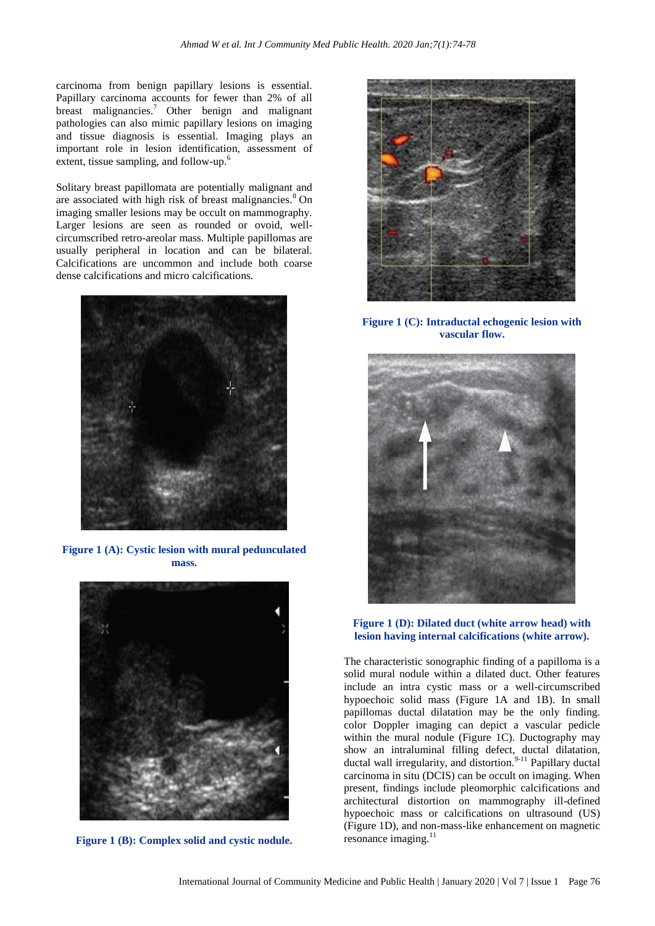carcinoma from benign papillary lesions is essential. Papillary carcinoma accounts for fewer than 2% of all breast malignancies.<sup>7</sup> Other benign and malignant pathologies can also mimic papillary lesions on imaging and tissue diagnosis is essential. Imaging plays an important role in lesion identification, assessment of extent, tissue sampling, and follow-up.<sup>6</sup>

Solitary breast papillomata are potentially malignant and are associated with high risk of breast malignancies. $8$  On imaging smaller lesions may be occult on mammography. Larger lesions are seen as rounded or ovoid, wellcircumscribed retro-areolar mass. Multiple papillomas are usually peripheral in location and can be bilateral. Calcifications are uncommon and include both coarse dense calcifications and micro calcifications.



**Figure 1 (A): Cystic lesion with mural pedunculated mass.**



**Figure 1 (B): Complex solid and cystic nodule.**



**Figure 1 (C): Intraductal echogenic lesion with vascular flow.**



**Figure 1 (D): Dilated duct (white arrow head) with lesion having internal calcifications (white arrow).**

The characteristic sonographic finding of a papilloma is a solid mural nodule within a dilated duct. Other features include an intra cystic mass or a well-circumscribed hypoechoic solid mass (Figure 1A and 1B). In small papillomas ductal dilatation may be the only finding. color Doppler imaging can depict a vascular pedicle within the mural nodule (Figure 1C). Ductography may show an intraluminal filling defect, ductal dilatation, ductal wall irregularity, and distortion.<sup>9-11</sup> Papillary ductal carcinoma in situ (DCIS) can be occult on imaging. When present, findings include pleomorphic calcifications and architectural distortion on mammography ill-defined hypoechoic mass or calcifications on ultrasound (US) (Figure 1D), and non-mass-like enhancement on magnetic resonance imaging.<sup>11</sup>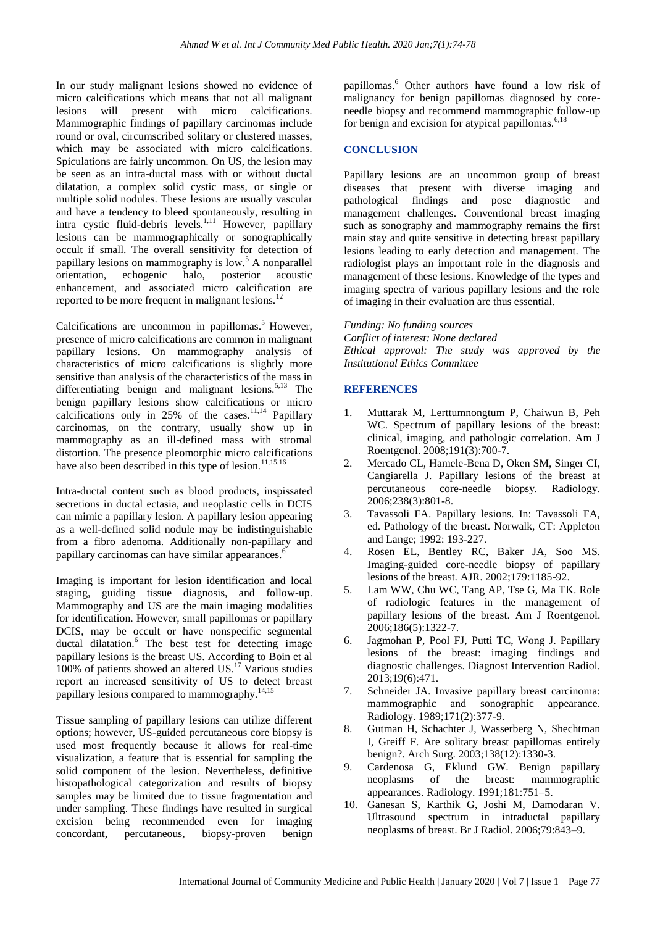In our study malignant lesions showed no evidence of micro calcifications which means that not all malignant lesions will present with micro calcifications. Mammographic findings of papillary carcinomas include round or oval, circumscribed solitary or clustered masses, which may be associated with micro calcifications. Spiculations are fairly uncommon. On US, the lesion may be seen as an intra-ductal mass with or without ductal dilatation, a complex solid cystic mass, or single or multiple solid nodules. These lesions are usually vascular and have a tendency to bleed spontaneously, resulting in intra cystic fluid-debris levels.<sup>1,11</sup> However, papillary lesions can be mammographically or sonographically occult if small. The overall sensitivity for detection of papillary lesions on mammography is  $low.<sup>5</sup>$  A nonparallel orientation, echogenic halo, posterior acoustic enhancement, and associated micro calcification are reported to be more frequent in malignant lesions.<sup>12</sup>

Calcifications are uncommon in papillomas.<sup>5</sup> However, presence of micro calcifications are common in malignant papillary lesions. On mammography analysis of characteristics of micro calcifications is slightly more sensitive than analysis of the characteristics of the mass in differentiating benign and malignant lesions.<sup>5,13</sup> The benign papillary lesions show calcifications or micro calcifications only in  $25%$  of the cases.<sup>11,14</sup> Papillary carcinomas, on the contrary, usually show up in mammography as an ill-defined mass with stromal distortion. The presence pleomorphic micro calcifications have also been described in this type of lesion.<sup>11,15,16</sup>

Intra-ductal content such as blood products, inspissated secretions in ductal ectasia, and neoplastic cells in DCIS can mimic a papillary lesion. A papillary lesion appearing as a well-defined solid nodule may be indistinguishable from a fibro adenoma. Additionally non-papillary and papillary carcinomas can have similar appearances.<sup>6</sup>

Imaging is important for lesion identification and local staging, guiding tissue diagnosis, and follow-up. Mammography and US are the main imaging modalities for identification. However, small papillomas or papillary DCIS, may be occult or have nonspecific segmental ductal dilatation.<sup>6</sup> The best test for detecting image papillary lesions is the breast US. According to Boin et al 100% of patients showed an altered US. <sup>17</sup> Various studies report an increased sensitivity of US to detect breast papillary lesions compared to mammography.<sup>14,15</sup>

Tissue sampling of papillary lesions can utilize different options; however, US-guided percutaneous core biopsy is used most frequently because it allows for real-time visualization, a feature that is essential for sampling the solid component of the lesion. Nevertheless, definitive histopathological categorization and results of biopsy samples may be limited due to tissue fragmentation and under sampling. These findings have resulted in surgical excision being recommended even for imaging concordant, percutaneous, biopsy-proven benign

papillomas.<sup>6</sup> Other authors have found a low risk of malignancy for benign papillomas diagnosed by coreneedle biopsy and recommend mammographic follow-up for benign and excision for atypical papillomas.<sup>6,18</sup>

## **CONCLUSION**

Papillary lesions are an uncommon group of breast diseases that present with diverse imaging and pathological findings and pose diagnostic and management challenges. Conventional breast imaging such as sonography and mammography remains the first main stay and quite sensitive in detecting breast papillary lesions leading to early detection and management. The radiologist plays an important role in the diagnosis and management of these lesions. Knowledge of the types and imaging spectra of various papillary lesions and the role of imaging in their evaluation are thus essential.

*Funding: No funding sources Conflict of interest: None declared Ethical approval: The study was approved by the Institutional Ethics Committee*

#### **REFERENCES**

- 1. Muttarak M, Lerttumnongtum P, Chaiwun B, Peh WC. Spectrum of papillary lesions of the breast: clinical, imaging, and pathologic correlation. Am J Roentgenol. 2008;191(3):700-7.
- 2. Mercado CL, Hamele-Bena D, Oken SM, Singer CI, Cangiarella J. Papillary lesions of the breast at percutaneous core-needle biopsy. Radiology. 2006;238(3):801-8.
- 3. Tavassoli FA. Papillary lesions. In: Tavassoli FA, ed. Pathology of the breast. Norwalk, CT: Appleton and Lange; 1992: 193-227.
- 4. Rosen EL, Bentley RC, Baker JA, Soo MS. Imaging-guided core-needle biopsy of papillary lesions of the breast. AJR. 2002;179:1185-92.
- 5. Lam WW, Chu WC, Tang AP, Tse G, Ma TK. Role of radiologic features in the management of papillary lesions of the breast. Am J Roentgenol. 2006;186(5):1322-7.
- 6. Jagmohan P, Pool FJ, Putti TC, Wong J. Papillary lesions of the breast: imaging findings and diagnostic challenges. Diagnost Intervention Radiol. 2013;19(6):471.
- 7. Schneider JA. Invasive papillary breast carcinoma: mammographic and sonographic appearance. Radiology. 1989;171(2):377-9.
- 8. Gutman H, Schachter J, Wasserberg N, Shechtman I, Greiff F. Are solitary breast papillomas entirely benign?. Arch Surg. 2003;138(12):1330-3.
- 9. Cardenosa G, Eklund GW. Benign papillary neoplasms of the breast: mammographic appearances. Radiology. 1991;181:751–5.
- 10. Ganesan S, Karthik G, Joshi M, Damodaran V. Ultrasound spectrum in intraductal papillary neoplasms of breast. Br J Radiol. 2006;79:843–9.